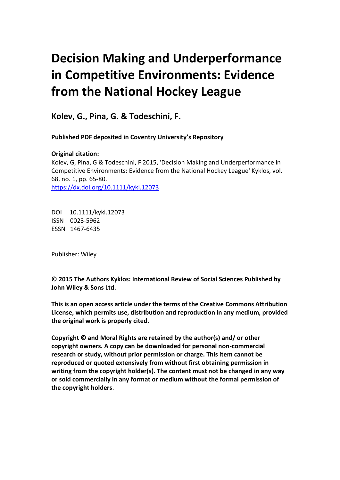# **Decision Making and Underperformance in Competitive Environments: Evidence from the National Hockey League**

**Kolev, G., Pina, G. & Todeschini, F.** 

 **Published PDF deposited in Coventry University's Repository** 

# **Original citation:**

 Kolev, G, Pina, G & Todeschini, F 2015, 'Decision Making and Underperformance in Competitive Environments: Evidence from the National Hockey League' Kyklos, vol. 68, no. 1, pp. 65-80. https://dx.doi.org/10.1111/kykl.12073

 DOI 10.1111/kykl.12073 ISSN 0023-5962 ESSN 1467-6435

Publisher: Wiley

 **© 2015 The Authors Kyklos: International Review of Social Sciences Published by John Wiley & Sons Ltd.** 

 **This is an open access article under the terms of the Creative Commons Attribution License, which permits use, distribution and reproduction in any medium, provided the original work is properly cited.** 

 **Copyright © and Moral Rights are retained by the author(s) and/ or other copyright owners. A copy can be downloaded for personal non-commercial research or study, without prior permission or charge. This item cannot be reproduced or quoted extensively from without first obtaining permission in writing from the copyright holder(s). The content must not be changed in any way or sold commercially in any format or medium without the formal permission of the copyright holders**.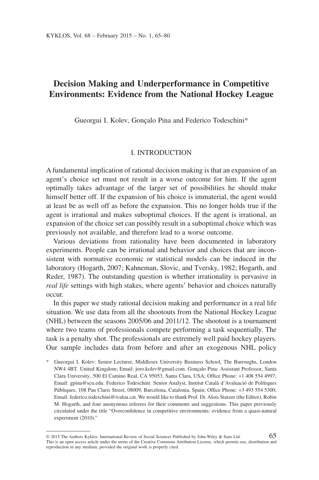## **Decision Making and Underperformance in Competitive Environments: Evidence from the National Hockey League**

Gueorgui I. Kolev, Gonçalo Pina and Federico Todeschini\*

### I. INTRODUCTION

A fundamental implication of rational decision making is that an expansion of an agent's choice set must not result in a worse outcome for him. If the agent optimally takes advantage of the larger set of possibilities he should make himself better off. If the expansion of his choice is immaterial, the agent would at least be as well off as before the expansion. This no longer holds true if the agent is irrational and makes suboptimal choices. If the agent is irrational, an expansion of the choice set can possibly result in a suboptimal choice which was previously not available, and therefore lead to a worse outcome.

Various deviations from rationality have been documented in laboratory experiments. People can be irrational and behavior and choices that are inconsistent with normative economic or statistical models can be induced in the laboratory (Hogarth, 2007; Kahneman, Slovic, and Tversky, 1982; Hogarth, and Reder, 1987). The outstanding question is whether irrationality is pervasive in *real life* settings with high stakes, where agents' behavior and choices naturally occur.

In this paper we study rational decision making and performance in a real life situation. We use data from all the shootouts from the National Hockey League (NHL) between the seasons 2005/06 and 2011/12. The shootout is a tournament where two teams of professionals compete performing a task sequentially. The task is a penalty shot. The professionals are extremely well paid hockey players. Our sample includes data from before and after an exogenous NHL policy

\* Gueorgui I. Kolev: Senior Lecturer, Middlesex University Business School, The Burroughs, London NW4 4BT. United Kingdom; Email: joro.kolev@gmail.com. Gonçalo Pina: Assistant Professor, Santa Clara University, 500 El Camino Real, CA 95053, Santa Clara, USA; Office Phone: +1 408 554 4997; Email: gpina@scu.edu. Federico Todeschini: Senior Analyst, Institut Català d'Avaluació de Polítiques Públiques, 108 Pau Claris Street, 08009, Barcelona, Catalonia, Spain; Office Phone: +3 493 554 5300; Email: federico.todeschini@ivalua.cat. We would like to thank Prof. Dr. Alois Stutzer (the Editor), Robin M. Hogarth, and four anonymous referees for their comments and suggestions. This paper previously circulated under the title "Overconfidence in competitive environments: evidence from a quasi-natural experiment (2010)."

<sup>© 2015</sup> The Authors Kyklos: International Review of Social Sciences Published by John Wiley & Sons Ltd. This is an open access article under the terms of the Creative Commons Attribution License, which permits use, distribution and reproduction in any medium, provided the original work is properly cited. 65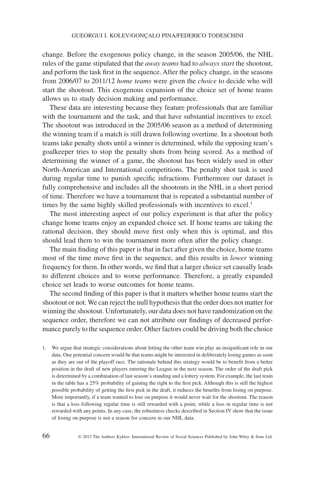change. Before the exogenous policy change, in the season 2005/06, the NHL rules of the game stipulated that the *away teams* had to *always start* the shootout, and perform the task first in the sequence. After the policy change, in the seasons from 2006/07 to 2011/12 *home teams* were given the *choice* to decide who will start the shootout. This exogenous expansion of the choice set of home teams allows us to study decision making and performance.

These data are interesting because they feature professionals that are familiar with the tournament and the task, and that have substantial incentives to excel. The shootout was introduced in the 2005/06 season as a method of determining the winning team if a match is still drawn following overtime. In a shootout both teams take penalty shots until a winner is determined, while the opposing team's goalkeeper tries to stop the penalty shots from being scored. As a method of determining the winner of a game, the shootout has been widely used in other North-American and International competitions. The penalty shot task is used during regular time to punish specific infractions. Furthermore our dataset is fully comprehensive and includes all the shootouts in the NHL in a short period of time. Therefore we have a tournament that is repeated a substantial number of times by the same highly skilled professionals with incentives to excel.<sup>1</sup>

The most interesting aspect of our policy experiment is that after the policy change home teams enjoy an expanded choice set. If home teams are taking the rational decision, they should move first only when this is optimal, and this should lead them to win the tournament more often after the policy change.

The main finding of this paper is that in fact after given the choice, home teams most of the time move first in the sequence, and this results in *lower* winning frequency for them. In other words, we find that a larger choice set causally leads to different choices and to worse performance. Therefore, a greatly expanded choice set leads to worse outcomes for home teams.

The second finding of this paper is that it matters whether home teams start the shootout or not. We can reject the null hypothesis that the order does not matter for winning the shootout. Unfortunately, our data does not have randomization on the sequence order, therefore we can not attribute our findings of decreased performance purely to the sequence order. Other factors could be driving both the choice

1. We argue that strategic considerations about letting the other team win play an insignificant role in our data. One potential concern would be that teams might be interested in deliberately losing games as soon as they are out of the playoff race. The rationale behind this strategy would be to benefit from a better position in the draft of new players entering the League in the next season. The order of the draft pick is determined by a combination of last season's standing and a lottery system. For example, the last team in the table has a 25% probability of gaining the right to the first pick. Although this is still the highest possible probability of getting the first pick in the draft, it reduces the benefits from losing on purpose. More importantly, if a team wanted to lose on purpose it would never wait for the shootout. The reason is that a loss following regular time is still rewarded with a point, while a loss in regular time is not rewarded with any points. In any case, the robustness checks described in Section IV show that the issue of losing on purpose is not a reason for concern in our NHL data.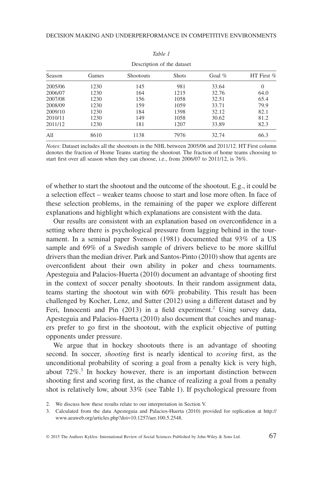| Description of the dataset |       |                  |              |          |              |  |  |  |
|----------------------------|-------|------------------|--------------|----------|--------------|--|--|--|
| Season                     | Games | <b>Shootouts</b> | <b>Shots</b> | Goal $%$ | HT First $%$ |  |  |  |
| 2005/06                    | 1230  | 145              | 981          | 33.64    | $\Omega$     |  |  |  |
| 2006/07                    | 1230  | 164              | 1215         | 32.76    | 64.0         |  |  |  |
| 2007/08                    | 1230  | 156              | 1058         | 32.51    | 65.4         |  |  |  |
| 2008/09                    | 1230  | 159              | 1059         | 33.71    | 79.9         |  |  |  |
| 2009/10                    | 1230  | 184              | 1398         | 32.12    | 82.1         |  |  |  |
| 2010/11                    | 1230  | 149              | 1058         | 30.62    | 81.2         |  |  |  |
| 2011/12                    | 1230  | 181              | 1207         | 33.89    | 82.3         |  |  |  |
| All                        | 8610  | 1138             | 7976         | 32.74    | 66.3         |  |  |  |

*Table 1*

Description of the dataset

*Notes*: Dataset includes all the shootouts in the NHL between 2005/06 and 2011/12. HT First column denotes the fraction of Home Teams starting the shootout. The fraction of home teams choosing to start first over all season when they can choose, i.e., from 2006/07 to 2011/12, is 76%.

of whether to start the shootout and the outcome of the shootout. E.g., it could be a selection effect – weaker teams choose to start and lose more often. In face of these selection problems, in the remaining of the paper we explore different explanations and highlight which explanations are consistent with the data.

Our results are consistent with an explanation based on overconfidence in a setting where there is psychological pressure from lagging behind in the tournament. In a seminal paper Svenson (1981) documented that 93% of a US sample and 69% of a Swedish sample of drivers believe to be more skillful drivers than the median driver. Park and Santos-Pinto (2010) show that agents are overconfident about their own ability in poker and chess tournaments. Apesteguia and Palacios-Huerta (2010) document an advantage of shooting first in the context of soccer penalty shootouts. In their random assignment data, teams starting the shootout win with 60% probability. This result has been challenged by Kocher, Lenz, and Sutter (2012) using a different dataset and by Feri, Innocenti and Pin  $(2013)$  in a field experiment.<sup>2</sup> Using survey data, Apesteguia and Palacios-Huerta (2010) also document that coaches and managers prefer to go first in the shootout, with the explicit objective of putting opponents under pressure.

We argue that in hockey shootouts there is an advantage of shooting second. In soccer, *shooting* first is nearly identical to *scoring* first, as the unconditional probability of scoring a goal from a penalty kick is very high, about  $72\%$ <sup>3</sup>. In hockey however, there is an important distinction between shooting first and scoring first, as the chance of realizing a goal from a penalty shot is relatively low, about 33% (see Table 1). If psychological pressure from

 $\degree$  2015 The Authors Kyklos: International Review of Social Sciences Published by John Wiley & Sons Ltd. 67

<sup>2.</sup> We discuss how these results relate to our interpretation in Section V.

<sup>3.</sup> Calculated from the data Apesteguia and Palacios-Huerta (2010) provided for replication at http:// www.aeaweb.org/articles.php?doi=10.1257/aer.100.5.2548.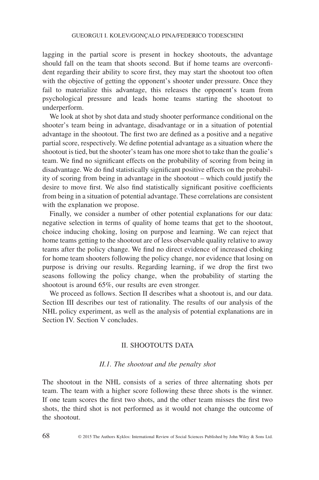lagging in the partial score is present in hockey shootouts, the advantage should fall on the team that shoots second. But if home teams are overconfident regarding their ability to score first, they may start the shootout too often with the objective of getting the opponent's shooter under pressure. Once they fail to materialize this advantage, this releases the opponent's team from psychological pressure and leads home teams starting the shootout to underperform.

We look at shot by shot data and study shooter performance conditional on the shooter's team being in advantage, disadvantage or in a situation of potential advantage in the shootout. The first two are defined as a positive and a negative partial score, respectively. We define potential advantage as a situation where the shootout is tied, but the shooter's team has one more shot to take than the goalie's team. We find no significant effects on the probability of scoring from being in disadvantage. We do find statistically significant positive effects on the probability of scoring from being in advantage in the shootout – which could justify the desire to move first. We also find statistically significant positive coefficients from being in a situation of potential advantage. These correlations are consistent with the explanation we propose.

Finally, we consider a number of other potential explanations for our data: negative selection in terms of quality of home teams that get to the shootout, choice inducing choking, losing on purpose and learning. We can reject that home teams getting to the shootout are of less observable quality relative to away teams after the policy change. We find no direct evidence of increased choking for home team shooters following the policy change, nor evidence that losing on purpose is driving our results. Regarding learning, if we drop the first two seasons following the policy change, when the probability of starting the shootout is around 65%, our results are even stronger.

We proceed as follows. Section II describes what a shootout is, and our data. Section III describes our test of rationality. The results of our analysis of the NHL policy experiment, as well as the analysis of potential explanations are in Section IV. Section V concludes.

## II. SHOOTOUTS DATA

#### *II.1. The shootout and the penalty shot*

The shootout in the NHL consists of a series of three alternating shots per team. The team with a higher score following these three shots is the winner. If one team scores the first two shots, and the other team misses the first two shots, the third shot is not performed as it would not change the outcome of the shootout.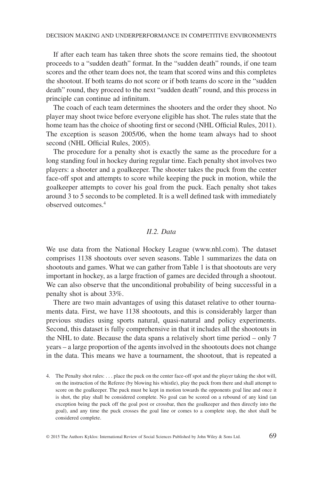If after each team has taken three shots the score remains tied, the shootout proceeds to a "sudden death" format. In the "sudden death" rounds, if one team scores and the other team does not, the team that scored wins and this completes the shootout. If both teams do not score or if both teams do score in the "sudden death" round, they proceed to the next "sudden death" round, and this process in principle can continue ad infinitum.

The coach of each team determines the shooters and the order they shoot. No player may shoot twice before everyone eligible has shot. The rules state that the home team has the choice of shooting first or second (NHL Official Rules, 2011). The exception is season 2005/06, when the home team always had to shoot second (NHL Official Rules, 2005).

The procedure for a penalty shot is exactly the same as the procedure for a long standing foul in hockey during regular time. Each penalty shot involves two players: a shooter and a goalkeeper. The shooter takes the puck from the center face-off spot and attempts to score while keeping the puck in motion, while the goalkeeper attempts to cover his goal from the puck. Each penalty shot takes around 3 to 5 seconds to be completed. It is a well defined task with immediately observed outcomes.4

## *II.2. Data*

We use data from the National Hockey League (www.nhl.com). The dataset comprises 1138 shootouts over seven seasons. Table 1 summarizes the data on shootouts and games. What we can gather from Table 1 is that shootouts are very important in hockey, as a large fraction of games are decided through a shootout. We can also observe that the unconditional probability of being successful in a penalty shot is about 33%.

There are two main advantages of using this dataset relative to other tournaments data. First, we have 1138 shootouts, and this is considerably larger than previous studies using sports natural, quasi-natural and policy experiments. Second, this dataset is fully comprehensive in that it includes all the shootouts in the NHL to date. Because the data spans a relatively short time period – only 7 years – a large proportion of the agents involved in the shootouts does not change in the data. This means we have a tournament, the shootout, that is repeated a

4. The Penalty shot rules: . . . place the puck on the center face-off spot and the player taking the shot will, on the instruction of the Referee (by blowing his whistle), play the puck from there and shall attempt to score on the goalkeeper. The puck must be kept in motion towards the opponents goal line and once it is shot, the play shall be considered complete. No goal can be scored on a rebound of any kind (an exception being the puck off the goal post or crossbar, then the goalkeeper and then directly into the goal), and any time the puck crosses the goal line or comes to a complete stop, the shot shall be considered complete.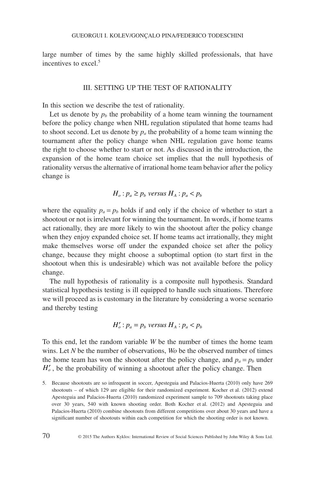large number of times by the same highly skilled professionals, that have incentives to excel. $5$ 

#### III. SETTING UP THE TEST OF RATIONALITY

In this section we describe the test of rationality.

Let us denote by  $p_b$  the probability of a home team winning the tournament before the policy change when NHL regulation stipulated that home teams had to shoot second. Let us denote by  $p_a$  the probability of a home team winning the tournament after the policy change when NHL regulation gave home teams the right to choose whether to start or not. As discussed in the introduction, the expansion of the home team choice set implies that the null hypothesis of rationality versus the alternative of irrational home team behavior after the policy change is

 $H_o: p_a \geq p_b$  *versus*  $H_A: p_a < p_b$ 

where the equality  $p_a = p_b$  holds if and only if the choice of whether to start a shootout or not is irrelevant for winning the tournament. In words, if home teams act rationally, they are more likely to win the shootout after the policy change when they enjoy expanded choice set. If home teams act irrationally, they might make themselves worse off under the expanded choice set after the policy change, because they might choose a suboptimal option (to start first in the shootout when this is undesirable) which was not available before the policy change.

The null hypothesis of rationality is a composite null hypothesis. Standard statistical hypothesis testing is ill equipped to handle such situations. Therefore we will proceed as is customary in the literature by considering a worse scenario and thereby testing

$$
H_o': p_a = p_b \text{ versus } H_A: p_a < p_b
$$

To this end, let the random variable *W* be the number of times the home team wins. Let *N* be the number of observations, *Wo* be the observed number of times the home team has won the shootout after the policy change, and  $p_a = p_b$  under  $H'_{o}$ , be the probability of winning a shootout after the policy change. Then

<sup>5.</sup> Because shootouts are so infrequent in soccer, Apesteguia and Palacios-Huerta (2010) only have 269 shootouts – of which 129 are eligible for their randomized experiment. Kocher et al. (2012) extend Apesteguia and Palacios-Huerta (2010) randomized experiment sample to 709 shootouts taking place over 30 years, 540 with known shooting order. Both Kocher et al. (2012) and Apesteguia and Palacios-Huerta (2010) combine shootouts from different competitions over about 30 years and have a significant number of shootouts within each competition for which the shooting order is not known.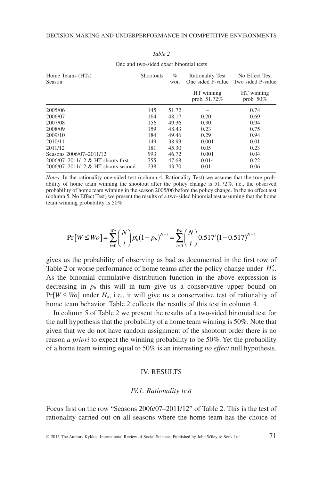| Home Teams (HTs)<br>Season         | <b>Shootouts</b> | $\%$<br>won | <b>Rationality Test</b><br>One sided P-value | No Effect Test<br>Two sided P-value |  |
|------------------------------------|------------------|-------------|----------------------------------------------|-------------------------------------|--|
|                                    |                  |             | HT winning<br>prob. 51.72%                   | HT winning<br>prob. $50\%$          |  |
| 2005/06                            | 145              | 51.72       |                                              | 0.74                                |  |
| 2006/07                            | 164              | 48.17       | 0.20                                         | 0.69                                |  |
| 2007/08                            | 156              | 49.36       | 0.30                                         | 0.94                                |  |
| 2008/09                            | 159              | 48.43       | 0.23                                         | 0.75                                |  |
| 2009/10                            | 184              | 49.46       | 0.29                                         | 0.94                                |  |
| 2010/11                            | 149              | 38.93       | 0.001                                        | 0.01                                |  |
| 2011/12                            | 181              | 45.30       | 0.05                                         | 0.23                                |  |
| Seasons 2006/07-2011/12            | 993              | 46.72       | 0.001                                        | 0.04                                |  |
| 2006/07-2011/12 & HT shoots first  | 755              | 47.68       | 0.014                                        | 0.22                                |  |
| 2006/07-2011/12 & HT shoots second | 238              | 43.70       | 0.01                                         | 0.06                                |  |

*Table 2*

One and two-sided exact binomial tests

*Notes*: In the rationality one-sided test (column 4, Rationality Test) we assume that the true probability of home team winning the shootout after the policy change is 51.72%, i.e., the observed probability of home team winning in the season 2005/06 before the policy change. In the no effect test (column 5, No Effect Test) we present the results of a two-sided binomial test assuming that the home team winning probability is 50%.

$$
\Pr\left[W \leq W\phi\right] = \sum_{i=0}^{W\phi} \binom{N}{i} p_b^i \left(1 - p_b\right)^{N-i} = \sum_{i=0}^{W\phi} \binom{N}{i} 0.517^i \left(1 - 0.517\right)^{N-i}
$$

gives us the probability of observing as bad as documented in the first row of Table 2 or worse performance of home teams after the policy change under  $H'_{o}$ . As the binomial cumulative distribution function in the above expression is decreasing in *pb* this will in turn give us a conservative upper bound on  $Pr[W \leq W_0]$  under  $H_0$ , i.e., it will give us a conservative test of rationality of home team behavior. Table 2 collects the results of this test in column 4.

In column 5 of Table 2 we present the results of a two-sided binomial test for the null hypothesis that the probability of a home team winning is 50%. Note that given that we do not have random assignment of the shootout order there is no reason *a priori* to expect the winning probability to be 50%. Yet the probability of a home team winning equal to 50% is an interesting *no effect* null hypothesis.

## IV. RESULTS

#### *IV.1. Rationality test*

Focus first on the row "Seasons 2006/07–2011/12" of Table 2. This is the test of rationality carried out on all seasons where the home team has the choice of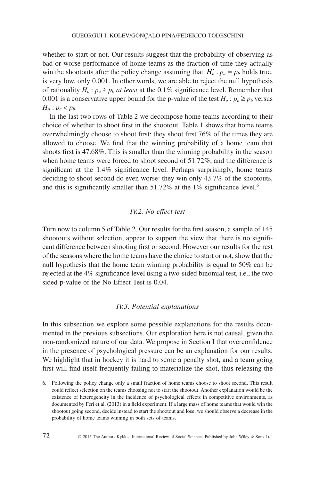whether to start or not. Our results suggest that the probability of observing as bad or worse performance of home teams as the fraction of time they actually win the shootouts after the policy change assuming that  $H'_o: p_a = p_b$  holds true, is very low, only 0.001. In other words, we are able to reject the null hypothesis of rationality  $H_o: p_a \geq p_b$  *at least* at the 0.1% significance level. Remember that 0.001 is a conservative upper bound for the p-value of the test  $H_o: p_a \geq p_b$  versus  $H_A$ :  $p_a$  <  $p_b$ .

In the last two rows of Table 2 we decompose home teams according to their choice of whether to shoot first in the shootout. Table 1 shows that home teams overwhelmingly choose to shoot first: they shoot first 76% of the times they are allowed to choose. We find that the winning probability of a home team that shoots first is 47.68%. This is smaller than the winning probability in the season when home teams were forced to shoot second of 51.72%, and the difference is significant at the 1.4% significance level. Perhaps surprisingly, home teams deciding to shoot second do even worse: they win only 43.7% of the shootouts, and this is significantly smaller than  $51.72\%$  at the 1% significance level.<sup>6</sup>

## *IV.2. No effect test*

Turn now to column 5 of Table 2. Our results for the first season, a sample of 145 shootouts without selection, appear to support the view that there is no significant difference between shooting first or second. However our results for the rest of the seasons where the home teams have the choice to start or not, show that the null hypothesis that the home team winning probability is equal to 50% can be rejected at the 4% significance level using a two-sided binomial test, i.e., the two sided p-value of the No Effect Test is 0.04.

## *IV.3. Potential explanations*

In this subsection we explore some possible explanations for the results documented in the previous subsections. Our exploration here is not causal, given the non-randomized nature of our data. We propose in Section I that overconfidence in the presence of psychological pressure can be an explanation for our results. We highlight that in hockey it is hard to score a penalty shot, and a team going first will find itself frequently failing to materialize the shot, thus releasing the

<sup>6.</sup> Following the policy change only a small fraction of home teams choose to shoot second. This result could reflect selection on the teams choosing not to start the shootout. Another explanation would be the existence of heterogeneity in the incidence of psychological effects in competitive environments, as documented by Feri et al. (2013) in a field experiment. If a large mass of home teams that would win the shootout going second, decide instead to start the shootout and lose, we should observe a decrease in the probability of home teams winning in both sets of teams.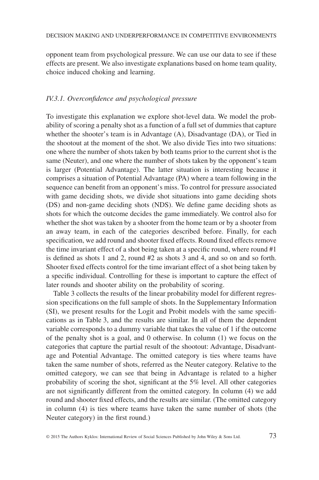opponent team from psychological pressure. We can use our data to see if these effects are present. We also investigate explanations based on home team quality, choice induced choking and learning.

#### *IV.3.1. Overconfidence and psychological pressure*

To investigate this explanation we explore shot-level data. We model the probability of scoring a penalty shot as a function of a full set of dummies that capture whether the shooter's team is in Advantage (A), Disadvantage (DA), or Tied in the shootout at the moment of the shot. We also divide Ties into two situations: one where the number of shots taken by both teams prior to the current shot is the same (Neuter), and one where the number of shots taken by the opponent's team is larger (Potential Advantage). The latter situation is interesting because it comprises a situation of Potential Advantage (PA) where a team following in the sequence can benefit from an opponent's miss. To control for pressure associated with game deciding shots, we divide shot situations into game deciding shots (DS) and non-game deciding shots (NDS). We define game deciding shots as shots for which the outcome decides the game immediately. We control also for whether the shot was taken by a shooter from the home team or by a shooter from an away team, in each of the categories described before. Finally, for each specification, we add round and shooter fixed effects. Round fixed effects remove the time invariant effect of a shot being taken at a specific round, where round #1 is defined as shots 1 and 2, round #2 as shots 3 and 4, and so on and so forth. Shooter fixed effects control for the time invariant effect of a shot being taken by a specific individual. Controlling for these is important to capture the effect of later rounds and shooter ability on the probability of scoring.

Table 3 collects the results of the linear probability model for different regression specifications on the full sample of shots. In the Supplementary Information (SI), we present results for the Logit and Probit models with the same specifications as in Table 3, and the results are similar. In all of them the dependent variable corresponds to a dummy variable that takes the value of 1 if the outcome of the penalty shot is a goal, and 0 otherwise. In column (1) we focus on the categories that capture the partial result of the shootout: Advantage, Disadvantage and Potential Advantage. The omitted category is ties where teams have taken the same number of shots, referred as the Neuter category. Relative to the omitted category, we can see that being in Advantage is related to a higher probability of scoring the shot, significant at the 5% level. All other categories are not significantly different from the omitted category. In column (4) we add round and shooter fixed effects, and the results are similar. (The omitted category in column (4) is ties where teams have taken the same number of shots (the Neuter category) in the first round.)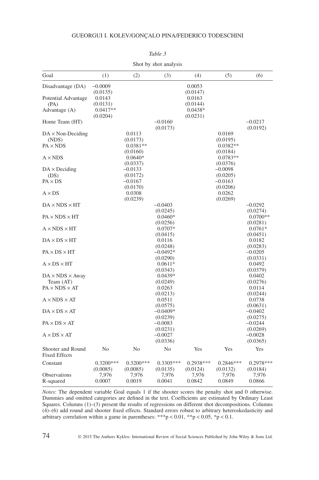#### GUEORGUI I. KOLEV/GONÇALO PINA/FEDERICO TODESCHINI

| Goal                                                                   | (1)                     | (2)                                            | (3)                                         | (4)                   | (5)                                            | (6)                                      |
|------------------------------------------------------------------------|-------------------------|------------------------------------------------|---------------------------------------------|-----------------------|------------------------------------------------|------------------------------------------|
| Disadvantage (DA)                                                      | $-0.0009$<br>(0.0135)   |                                                |                                             | 0.0053<br>(0.0147)    |                                                |                                          |
| Potential Advantage<br>(PA)                                            | 0.0143<br>(0.0131)      |                                                |                                             | 0.0163<br>(0.0144)    |                                                |                                          |
| Advantage (A)                                                          | $0.0417**$<br>(0.0204)  |                                                |                                             | $0.0438*$<br>(0.0231) |                                                |                                          |
| Home Team (HT)                                                         |                         |                                                | $-0.0160$<br>(0.0173)                       |                       |                                                | $-0.0217$<br>(0.0192)                    |
| $DA \times Non-Deciding$<br>(NDS)<br>$PA \times NDS$                   |                         | 0.0113<br>(0.0173)<br>$0.0381**$               |                                             |                       | 0.0169<br>(0.0195)<br>$0.0382**$               |                                          |
| $A \times NDS$                                                         |                         | (0.0160)<br>$0.0640*$                          |                                             |                       | (0.0184)<br>$0.0783**$                         |                                          |
| $DA \times Deciding$<br>(DS)<br>$PA \times DS$                         |                         | (0.0337)<br>$-0.0133$<br>(0.0172)<br>$-0.0167$ |                                             |                       | (0.0376)<br>$-0.0098$<br>(0.0205)<br>$-0.0163$ |                                          |
| $A \times DS$                                                          |                         | (0.0170)<br>0.0308                             |                                             |                       | (0.0206)<br>0.0262                             |                                          |
| $DA \times NDS \times HT$                                              |                         | (0.0239)                                       | $-0.0403$                                   |                       | (0.0269)                                       | $-0.0292$                                |
| $PA \times NDS \times HT$                                              |                         |                                                | (0.0245)<br>$0.0460*$                       |                       |                                                | (0.0274)<br>$0.0700**$                   |
| $A \times NDS \times HT$                                               |                         |                                                | (0.0256)<br>$0.0707*$                       |                       |                                                | (0.0281)<br>$0.0761*$                    |
| $DA \times DS \times HT$                                               |                         |                                                | (0.0415)<br>0.0116                          |                       |                                                | (0.0451)<br>0.0182                       |
| $PA \times DS \times HT$                                               |                         |                                                | (0.0248)<br>$-0.0492*$                      |                       |                                                | (0.0283)<br>$-0.0205$                    |
| $A \times DS \times HT$                                                |                         |                                                | (0.0290)<br>$0.0611*$                       |                       |                                                | (0.0331)<br>0.0492                       |
| $DA \times NDS \times A$ way<br>Team (AT)<br>$PA \times NDS \times AT$ |                         |                                                | (0.0343)<br>$0.0439*$<br>(0.0249)<br>0.0263 |                       |                                                | (0.0379)<br>0.0402<br>(0.0276)<br>0.0114 |
| $A \times NDS \times AT$                                               |                         |                                                | (0.0213)<br>0.0511                          |                       |                                                | (0.0244)<br>0.0738                       |
| $DA \times DS \times AT$                                               |                         |                                                | (0.0575)<br>$-0.0409*$                      |                       |                                                | (0.0631)<br>$-0.0402$                    |
| $PA \times DS \times AT$                                               |                         |                                                | (0.0239)<br>$-0.0083$<br>(0.0231)           |                       |                                                | (0.0275)<br>$-0.0244$<br>(0.0269)        |
| $A \times DS \times AT$                                                |                         |                                                | $-0.0027$<br>(0.0336)                       |                       |                                                | $-0.0028$<br>(0.0365)                    |
| Shooter and Round<br><b>Fixed Effects</b>                              | No                      | No                                             | No                                          | Yes                   | Yes                                            | Yes                                      |
| Constant                                                               | $0.3200***$<br>(0.0085) | $0.3200***$<br>(0.0085)                        | $0.3305***$<br>(0.0135)                     | 0.2938***<br>(0.0124) | 0.2846***<br>(0.0132)                          | 0.2978***<br>(0.0184)                    |
| Observations<br>R-squared                                              | 7,976<br>0.0007         | 7,976<br>0.0019                                | 7,976<br>0.0041                             | 7,976<br>0.0842       | 7,976<br>0.0849                                | 7,976<br>0.0866                          |

*Table 3*

Shot by shot analysis

*Notes*: The dependent variable Goal equals 1 if the shooter scores the penalty shot and 0 otherwise. Dummies and omitted categories are defined in the text. Coefficients are estimated by Ordinary Least Squares. Columns (1)–(3) present the results of regressions on different shot decompositions. Columns (4)–(6) add round and shooter fixed effects. Standard errors robust to arbitrary heteroskedasticity and arbitrary correlation within a game in parentheses: \*\*\*p < 0.01, \*\*p < 0.05, \*p < 0.1.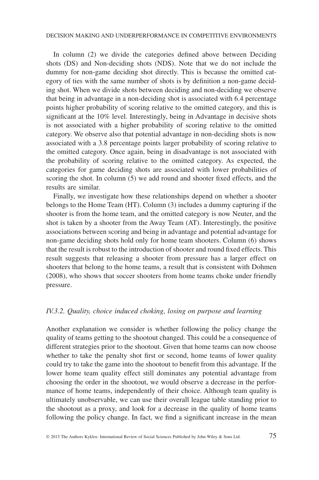In column (2) we divide the categories defined above between Deciding shots (DS) and Non-deciding shots (NDS). Note that we do not include the dummy for non-game deciding shot directly. This is because the omitted category of ties with the same number of shots is by definition a non-game deciding shot. When we divide shots between deciding and non-deciding we observe that being in advantage in a non-deciding shot is associated with 6.4 percentage points higher probability of scoring relative to the omitted category, and this is significant at the 10% level. Interestingly, being in Advantage in decisive shots is not associated with a higher probability of scoring relative to the omitted category. We observe also that potential advantage in non-deciding shots is now associated with a 3.8 percentage points larger probability of scoring relative to the omitted category. Once again, being in disadvantage is not associated with the probability of scoring relative to the omitted category. As expected, the categories for game deciding shots are associated with lower probabilities of scoring the shot. In column (5) we add round and shooter fixed effects, and the results are similar.

Finally, we investigate how these relationships depend on whether a shooter belongs to the Home Team (HT). Column (3) includes a dummy capturing if the shooter is from the home team, and the omitted category is now Neuter, and the shot is taken by a shooter from the Away Team (AT). Interestingly, the positive associations between scoring and being in advantage and potential advantage for non-game deciding shots hold only for home team shooters. Column (6) shows that the result is robust to the introduction of shooter and round fixed effects. This result suggests that releasing a shooter from pressure has a larger effect on shooters that belong to the home teams, a result that is consistent with Dohmen (2008), who shows that soccer shooters from home teams choke under friendly pressure.

#### *IV.3.2. Quality, choice induced choking, losing on purpose and learning*

Another explanation we consider is whether following the policy change the quality of teams getting to the shootout changed. This could be a consequence of different strategies prior to the shootout. Given that home teams can now choose whether to take the penalty shot first or second, home teams of lower quality could try to take the game into the shootout to benefit from this advantage. If the lower home team quality effect still dominates any potential advantage from choosing the order in the shootout, we would observe a decrease in the performance of home teams, independently of their choice. Although team quality is ultimately unobservable, we can use their overall league table standing prior to the shootout as a proxy, and look for a decrease in the quality of home teams following the policy change. In fact, we find a significant increase in the mean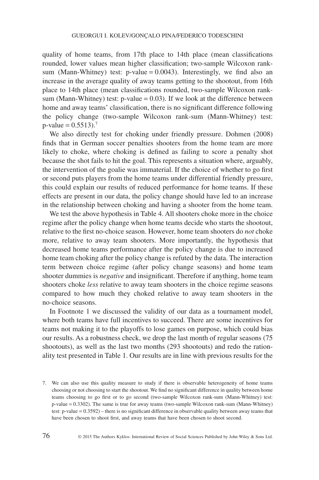quality of home teams, from 17th place to 14th place (mean classifications rounded, lower values mean higher classification; two-sample Wilcoxon ranksum (Mann-Whitney) test:  $p$ -value = 0.0043). Interestingly, we find also an increase in the average quality of away teams getting to the shootout, from 16th place to 14th place (mean classifications rounded, two-sample Wilcoxon ranksum (Mann-Whitney) test: p-value =  $0.03$ ). If we look at the difference between home and away teams' classification, there is no significant difference following the policy change (two-sample Wilcoxon rank-sum (Mann-Whitney) test: p-value  $= 0.5513$ .<sup>7</sup>

We also directly test for choking under friendly pressure. Dohmen (2008) finds that in German soccer penalties shooters from the home team are more likely to choke, where choking is defined as failing to score a penalty shot because the shot fails to hit the goal. This represents a situation where, arguably, the intervention of the goalie was immaterial. If the choice of whether to go first or second puts players from the home teams under differential friendly pressure, this could explain our results of reduced performance for home teams. If these effects are present in our data, the policy change should have led to an increase in the relationship between choking and having a shooter from the home team.

We test the above hypothesis in Table 4. All shooters choke more in the choice regime after the policy change when home teams decide who starts the shootout, relative to the first no-choice season. However, home team shooters do *not* choke more, relative to away team shooters. More importantly, the hypothesis that decreased home teams performance after the policy change is due to increased home team choking after the policy change is refuted by the data. The interaction term between choice regime (after policy change seasons) and home team shooter dummies is *negative* and insignificant. Therefore if anything, home team shooters choke *less* relative to away team shooters in the choice regime seasons compared to how much they choked relative to away team shooters in the no-choice seasons.

In Footnote 1 we discussed the validity of our data as a tournament model, where both teams have full incentives to succeed. There are some incentives for teams not making it to the playoffs to lose games on purpose, which could bias our results. As a robustness check, we drop the last month of regular seasons (75 shootouts), as well as the last two months (293 shootouts) and redo the rationality test presented in Table 1. Our results are in line with previous results for the

<sup>7.</sup> We can also use this quality measure to study if there is observable heterogeneity of home teams choosing or not choosing to start the shootout. We find no significant difference in quality between home teams choosing to go first or to go second (two-sample Wilcoxon rank-sum (Mann-Whitney) test: p-value = 0.3302). The same is true for away teams (two-sample Wilcoxon rank-sum (Mann-Whitney) test: p-value = 0.3592) – there is no significant difference in observable quality between away teams that have been chosen to shoot first, and away teams that have been chosen to shoot second.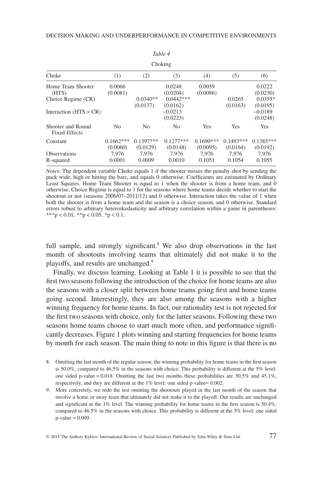| Choking                                                                             |                         |                         |                                                                        |                         |                         |                                                                      |
|-------------------------------------------------------------------------------------|-------------------------|-------------------------|------------------------------------------------------------------------|-------------------------|-------------------------|----------------------------------------------------------------------|
| Choke                                                                               | (1)                     | (2)                     | (3)                                                                    | (4)                     | (5)                     | (6)                                                                  |
| Home Team Shooter<br>(HTS)<br>Choice Regime (CR)<br>Interaction ( $HTS \times CR$ ) | 0.0066<br>(0.0081)      | $0.0340**$<br>(0.0137)  | 0.0248<br>(0.0204)<br>$0.0442***$<br>(0.0162)<br>$-0.0213$<br>(0.0223) | 0.0059<br>(0.0086)      | 0.0265<br>(0.0163)      | 0.0222<br>(0.0230)<br>$0.0355*$<br>(0.0195)<br>$-0.0189$<br>(0.0248) |
| Shooter and Round<br><b>Fixed Effects</b>                                           | N <sub>0</sub>          | N <sub>0</sub>          | N <sub>0</sub>                                                         | <b>Yes</b>              | <b>Yes</b>              | Yes                                                                  |
| Constant                                                                            | $0.1662***$<br>(0.0060) | $0.1397***$<br>(0.0129) | $0.1277***$<br>(0.0148)                                                | $0.1690***$<br>(0.0095) | $0.1493***$<br>(0.0164) | $0.1385***$<br>(0.0192)                                              |
| <b>Observations</b><br>R-squared                                                    | 7.976<br>0.0001         | 7.976<br>0.0009         | 7.976<br>0.0010                                                        | 7.976<br>0.1051         | 7.976<br>0.1054         | 7,976<br>0.1055                                                      |

*Table 4*

*Notes*: The dependent variable Choke equals 1 if the shooter misses the penalty shot by sending the puck wide, high or hitting the bars, and equals 0 otherwise. Coefficients are estimated by Ordinary Least Squares. Home Team Shooter is equal to 1 when the shooter is from a home team, and 0 otherwise. Choice Regime is equal to 1 for the seasons where home teams decide whether to start the shootout or not (seasons 2006/07–2011/12) and 0 otherwise. Interaction takes the value of 1 when both the shooter is from a home team and the season is a choice season, and 0 otherwise. Standard errors robust to arbitrary heteroskedasticity and arbitrary correlation within a game in parentheses: \*\*\*p < 0.01, \*\*p < 0.05, \*p < 0.1.

full sample, and strongly significant.<sup>8</sup> We also drop observations in the last month of shootouts involving teams that ultimately did not make it to the playoffs, and results are unchanged.9

Finally, we discuss learning. Looking at Table 1 it is possible to see that the first two seasons following the introduction of the choice for home teams are also the seasons with a closer split between home teams going first and home teams going second. Interestingly, they are also among the seasons with a higher winning frequency for home teams. In fact, our rationality test is not rejected for the first two seasons with choice, only for the latter seasons. Following these two seasons home teams choose to start much more often, and performance significantly decreases. Figure 1 plots winning and starting frequencies for home teams by month for each season. The main thing to note in this figure is that there is no

- 8. Omitting the last month of the regular season, the winning probability for home teams in the first season is 50.0%, compared to 46.5% in the seasons with choice. This probability is different at the 5% level: one sided p-value = 0.018. Omitting the last two months these probabilities are  $50.5\%$  and  $45.1\%$ , respectively, and they are different at the 1% level: one sided p-value= 0.002.
- 9. More concretely, we redo the test omitting the shootouts played in the last month of the season that involve a home or away team that ultimately did not make it to the playoff. Our results are unchanged and significant at the 1% level. The winning probability for home teams in the first season is 50.4%, compared to 46.5% in the seasons with choice. This probability is different at the 5% level: one sided  $p-value = 0.009$ .

© 2015 The Authors Kyklos: International Review of Social Sciences Published by John Wiley & Sons Ltd. 77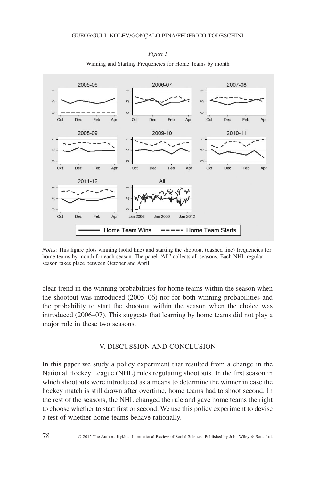#### GUEORGUI I. KOLEV/GONÇALO PINA/FEDERICO TODESCHINI



*Figure 1* Winning and Starting Frequencies for Home Teams by month

*Notes*: This figure plots winning (solid line) and starting the shootout (dashed line) frequencies for home teams by month for each season. The panel "All" collects all seasons. Each NHL regular season takes place between October and April.

clear trend in the winning probabilities for home teams within the season when the shootout was introduced (2005–06) nor for both winning probabilities and the probability to start the shootout within the season when the choice was introduced (2006–07). This suggests that learning by home teams did not play a major role in these two seasons.

## V. DISCUSSION AND CONCLUSION

In this paper we study a policy experiment that resulted from a change in the National Hockey League (NHL) rules regulating shootouts. In the first season in which shootouts were introduced as a means to determine the winner in case the hockey match is still drawn after overtime, home teams had to shoot second. In the rest of the seasons, the NHL changed the rule and gave home teams the right to choose whether to start first or second. We use this policy experiment to devise a test of whether home teams behave rationally.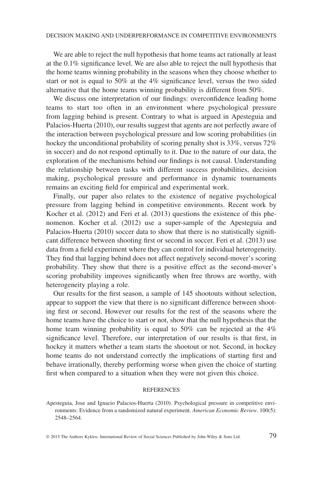We are able to reject the null hypothesis that home teams act rationally at least at the 0.1% significance level. We are also able to reject the null hypothesis that the home teams winning probability in the seasons when they choose whether to start or not is equal to 50% at the 4% significance level, versus the two sided alternative that the home teams winning probability is different from 50%.

We discuss one interpretation of our findings: overconfidence leading home teams to start too often in an environment where psychological pressure from lagging behind is present. Contrary to what is argued in Apesteguia and Palacios-Huerta (2010), our results suggest that agents are not perfectly aware of the interaction between psychological pressure and low scoring probabilities (in hockey the unconditional probability of scoring penalty shot is 33%, versus 72% in soccer) and do not respond optimally to it. Due to the nature of our data, the exploration of the mechanisms behind our findings is not causal. Understanding the relationship between tasks with different success probabilities, decision making, psychological pressure and performance in dynamic tournaments remains an exciting field for empirical and experimental work.

Finally, our paper also relates to the existence of negative psychological pressure from lagging behind in competitive environments. Recent work by Kocher et al. (2012) and Feri et al. (2013) questions the existence of this phenomenon. Kocher et al. (2012) use a super-sample of the Apesteguia and Palacios-Huerta (2010) soccer data to show that there is no statistically significant difference between shooting first or second in soccer. Feri et al. (2013) use data from a field experiment where they can control for individual heterogeneity. They find that lagging behind does not affect negatively second-mover's scoring probability. They show that there is a positive effect as the second-mover's scoring probability improves significantly when free throws are worthy, with heterogeneity playing a role.

Our results for the first season, a sample of 145 shootouts without selection, appear to support the view that there is no significant difference between shooting first or second. However our results for the rest of the seasons where the home teams have the choice to start or not, show that the null hypothesis that the home team winning probability is equal to 50% can be rejected at the 4% significance level. Therefore, our interpretation of our results is that first, in hockey it matters whether a team starts the shootout or not. Second, in hockey home teams do not understand correctly the implications of starting first and behave irrationally, thereby performing worse when given the choice of starting first when compared to a situation when they were not given this choice.

#### **REFERENCES**

© 2015 The Authors Kyklos: International Review of Social Sciences Published by John Wiley & Sons Ltd. 79

Apesteguia, Jose and Ignacio Palacios-Huerta (2010). Psychological pressure in competitive environments: Evidence from a randomized natural experiment. *American Economic Review*. 100(5): 2548–2564.